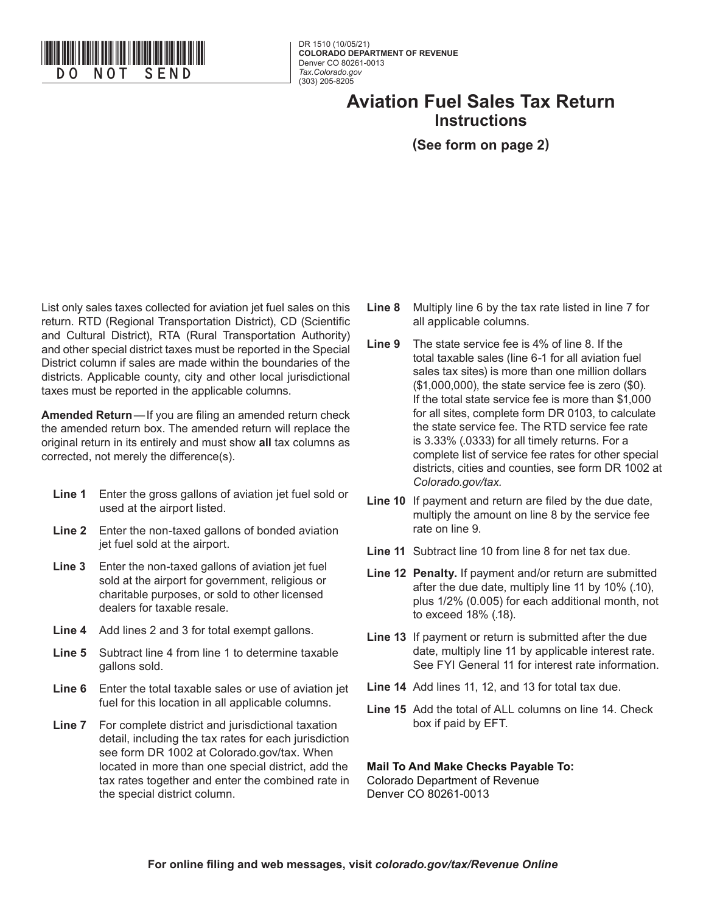

DR 1510 (10/05/21) **COLORADO DEPARTMENT OF REVENUE** Denver CO 80261-0013 *Tax.Colorado.gov* (303) 205-8205

## **Aviation Fuel Sales Tax Return Instructions**

## **(See form on page 2)**

List only sales taxes collected for aviation jet fuel sales on this return. RTD (Regional Transportation District), CD (Scientific and Cultural District), RTA (Rural Transportation Authority) and other special district taxes must be reported in the Special District column if sales are made within the boundaries of the districts. Applicable county, city and other local jurisdictional taxes must be reported in the applicable columns.

**Amended Return**—If you are filing an amended return check the amended return box. The amended return will replace the original return in its entirely and must show **all** tax columns as corrected, not merely the difference(s).

- **Line 1** Enter the gross gallons of aviation jet fuel sold or used at the airport listed.
- **Line 2** Enter the non-taxed gallons of bonded aviation jet fuel sold at the airport.
- **Line 3** Enter the non-taxed gallons of aviation jet fuel sold at the airport for government, religious or charitable purposes, or sold to other licensed dealers for taxable resale.
- **Line 4** Add lines 2 and 3 for total exempt gallons.
- **Line 5** Subtract line 4 from line 1 to determine taxable gallons sold.
- **Line 6** Enter the total taxable sales or use of aviation jet fuel for this location in all applicable columns.
- **Line 7** For complete district and jurisdictional taxation detail, including the tax rates for each jurisdiction see form DR 1002 at Colorado.gov/tax. When located in more than one special district, add the tax rates together and enter the combined rate in the special district column.
- **Line 8** Multiply line 6 by the tax rate listed in line 7 for all applicable columns.
- **Line 9** The state service fee is 4% of line 8. If the total taxable sales (line 6-1 for all aviation fuel sales tax sites) is more than one million dollars (\$1,000,000), the state service fee is zero (\$0). If the total state service fee is more than \$1,000 for all sites, complete form DR 0103, to calculate the state service fee. The RTD service fee rate is 3.33% (.0333) for all timely returns. For a complete list of service fee rates for other special districts, cities and counties, see form DR 1002 at *Colorado.gov/tax.*
- **Line 10** If payment and return are filed by the due date, multiply the amount on line 8 by the service fee rate on line 9.
- **Line 11** Subtract line 10 from line 8 for net tax due.
- **Line 12 Penalty.** If payment and/or return are submitted after the due date, multiply line 11 by 10% (.10), plus 1/2% (0.005) for each additional month, not to exceed 18% (.18).
- **Line 13** If payment or return is submitted after the due date, multiply line 11 by applicable interest rate. See FYI General 11 for interest rate information.
- **Line 14** Add lines 11, 12, and 13 for total tax due.
- **Line 15** Add the total of ALL columns on line 14. Check box if paid by EFT.

**Mail To And Make Checks Payable To:**  Colorado Department of Revenue Denver CO 80261-0013